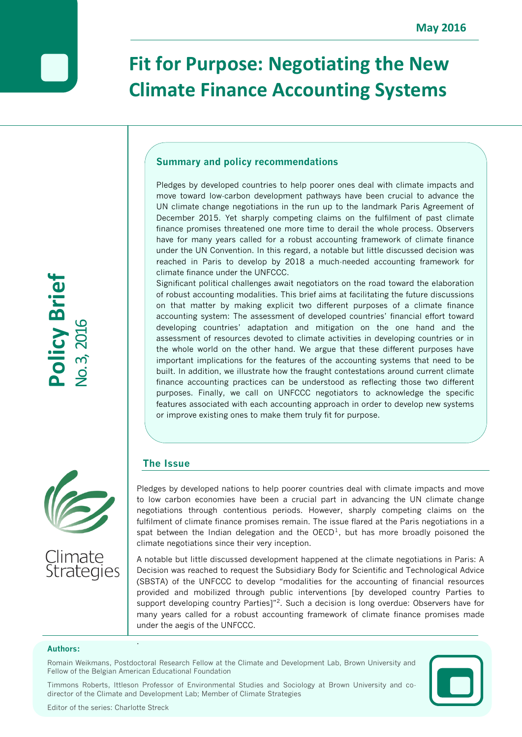# **Fit for Purpose: Negotiating the New Climate Finance Accounting Systems**

# **Summary and policy recommendations**

Pledges by developed countries to help poorer ones deal with climate impacts and move toward low-carbon development pathways have been crucial to advance the UN climate change negotiations in the run up to the landmark Paris Agreement of December 2015. Yet sharply competing claims on the fulfilment of past climate finance promises threatened one more time to derail the whole process. Observers have for many years called for a robust accounting framework of climate finance under the UN Convention. In this regard, a notable but little discussed decision was reached in Paris to develop by 2018 a much-needed accounting framework for climate finance under the UNFCCC.

Significant political challenges await negotiators on the road toward the elaboration of robust accounting modalities. This brief aims at facilitating the future discussions on that matter by making explicit two different purposes of a climate finance accounting system: The assessment of developed countries' financial effort toward developing countries' adaptation and mitigation on the one hand and the assessment of resources devoted to climate activities in developing countries or in the whole world on the other hand. We argue that these different purposes have important implications for the features of the accounting systems that need to be built. In addition, we illustrate how the fraught contestations around current climate finance accounting practices can be understood as reflecting those two different purposes. Finally, we call on UNFCCC negotiators to acknowledge the specific features associated with each accounting approach in order to develop new systems or improve existing ones to make them truly fit for purpose.

# **The Issue**

.<br>2<br>Z

3, 201

6

**Policy Brief**



Pledges by developed nations to help poorer countries deal with climate impacts and move to low carbon economies have been a crucial part in advancing the UN climate change negotiations through contentious periods. However, sharply competing claims on the fulfilment of climate finance promises remain. The issue flared at the Paris negotiations in a spat between the Indian delegation and the  $OECD<sup>1</sup>$ , but has more broadly poisoned the climate negotiations since their very inception.

A notable but little discussed development happened at the climate negotiations in Paris: A Decision was reached to request the Subsidiary Body for Scientific and Technological Advice (SBSTA) of the UNFCCC to develop "modalities for the accounting of financial resources provided and mobilized through public interventions [by developed country Parties to support developing country Parties]"<sup>2</sup>. Such a decision is long overdue: Observers have for many years called for a robust accounting framework of climate finance promises made under the aegis of the UNFCCC.

#### **Authors:**

Romain Weikmans, Postdoctoral Research Fellow at the Climate and Development Lab, Brown University and Fellow of the Belgian American Educational Foundation

Timmons Roberts, Ittleson Professor of Environmental Studies and Sociology at Brown University and codirector of the Climate and Development Lab; Member of Climate Strategies



.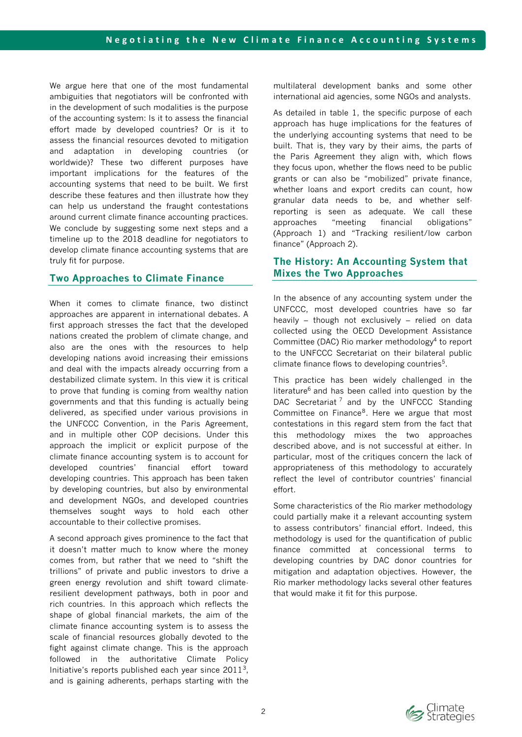We argue here that one of the most fundamental ambiguities that negotiators will be confronted with in the development of such modalities is the purpose of the accounting system: Is it to assess the financial effort made by developed countries? Or is it to assess the financial resources devoted to mitigation and adaptation in developing countries (or worldwide)? These two different purposes have important implications for the features of the accounting systems that need to be built. We first describe these features and then illustrate how they can help us understand the fraught contestations around current climate finance accounting practices. We conclude by suggesting some next steps and a timeline up to the 2018 deadline for negotiators to develop climate finance accounting systems that are truly fit for purpose.

# **Two Approaches to Climate Finance**

When it comes to climate finance, two distinct approaches are apparent in international debates. A first approach stresses the fact that the developed nations created the problem of climate change, and also are the ones with the resources to help developing nations avoid increasing their emissions and deal with the impacts already occurring from a destabilized climate system. In this view it is critical to prove that funding is coming from wealthy nation governments and that this funding is actually being delivered, as specified under various provisions in the UNFCCC Convention, in the Paris Agreement, and in multiple other COP decisions. Under this approach the implicit or explicit purpose of the climate finance accounting system is to account for developed countries' financial effort toward developing countries. This approach has been taken by developing countries, but also by environmental and development NGOs, and developed countries themselves sought ways to hold each other accountable to their collective promises.

A second approach gives prominence to the fact that it doesn't matter much to know where the money comes from, but rather that we need to "shift the trillions" of private and public investors to drive a green energy revolution and shift toward climateresilient development pathways, both in poor and rich countries. In this approach which reflects the shape of global financial markets, the aim of the climate finance accounting system is to assess the scale of financial resources globally devoted to the fight against climate change. This is the approach followed in the authoritative Climate Policy Initiative's reports published each year since  $2011<sup>3</sup>$ , and is gaining adherents, perhaps starting with the

multilateral development banks and some other international aid agencies, some NGOs and analysts.

As detailed in table 1, the specific purpose of each approach has huge implications for the features of the underlying accounting systems that need to be built. That is, they vary by their aims, the parts of the Paris Agreement they align with, which flows they focus upon, whether the flows need to be public grants or can also be "mobilized" private finance, whether loans and export credits can count, how granular data needs to be, and whether selfreporting is seen as adequate. We call these approaches "meeting financial obligations" (Approach 1) and "Tracking resilient/low carbon finance" (Approach 2).

# **The History: An Accounting System that Mixes the Two Approaches**

In the absence of any accounting system under the UNFCCC, most developed countries have so far heavily – though not exclusively – relied on data collected using the OECD Development Assistance Committee (DAC) Rio marker methodology<sup>4</sup> to report to the UNFCCC Secretariat on their bilateral public climate finance flows to developing countries<sup>5</sup>.

This practice has been widely challenged in the literature $6$  and has been called into question by the DAC Secretariat<sup>7</sup> and by the UNFCCC Standing Committee on Finance<sup>8</sup>. Here we argue that most contestations in this regard stem from the fact that this methodology mixes the two approaches described above, and is not successful at either. In particular, most of the critiques concern the lack of appropriateness of this methodology to accurately reflect the level of contributor countries' financial effort.

Some characteristics of the Rio marker methodology could partially make it a relevant accounting system to assess contributors' financial effort. Indeed, this methodology is used for the quantification of public finance committed at concessional terms to developing countries by DAC donor countries for mitigation and adaptation objectives. However, the Rio marker methodology lacks several other features that would make it fit for this purpose.

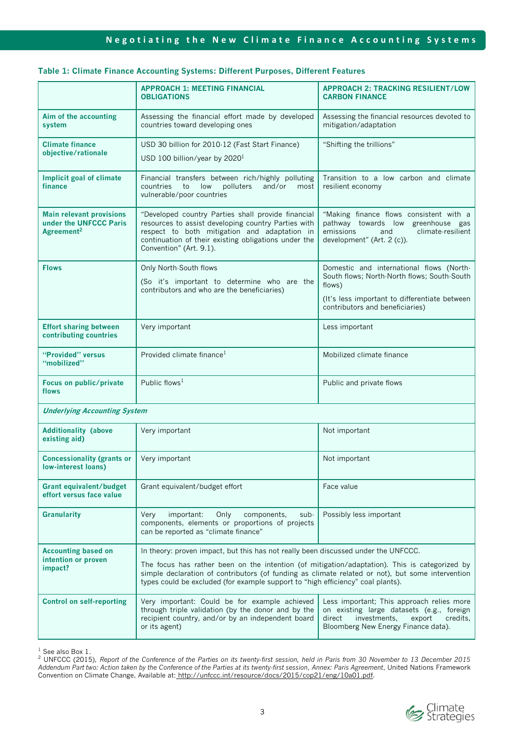## **Table 1: Climate Finance Accounting Systems: Different Purposes, Different Features**

|                                                                                     | <b>APPROACH 1: MEETING FINANCIAL</b>                                                                                                                                                                                                                                                 | <b>APPROACH 2: TRACKING RESILIENT/LOW</b>                                                                                                                                     |
|-------------------------------------------------------------------------------------|--------------------------------------------------------------------------------------------------------------------------------------------------------------------------------------------------------------------------------------------------------------------------------------|-------------------------------------------------------------------------------------------------------------------------------------------------------------------------------|
|                                                                                     | <b>OBLIGATIONS</b>                                                                                                                                                                                                                                                                   | <b>CARBON FINANCE</b>                                                                                                                                                         |
| Aim of the accounting<br>system                                                     | Assessing the financial effort made by developed<br>countries toward developing ones                                                                                                                                                                                                 | Assessing the financial resources devoted to<br>mitigation/adaptation                                                                                                         |
| <b>Climate finance</b><br>objective/rationale                                       | USD 30 billion for 2010-12 (Fast Start Finance)                                                                                                                                                                                                                                      | "Shifting the trillions"                                                                                                                                                      |
|                                                                                     | USD 100 billion/year by 2020 $1$                                                                                                                                                                                                                                                     |                                                                                                                                                                               |
| <b>Implicit goal of climate</b><br>finance                                          | Financial transfers between rich/highly polluting<br>polluters<br>and/or<br>countries<br>to<br>low<br>most<br>vulnerable/poor countries                                                                                                                                              | Transition to a low carbon and climate<br>resilient economy                                                                                                                   |
| <b>Main relevant provisions</b><br>under the UNFCCC Paris<br>Agreement <sup>2</sup> | "Developed country Parties shall provide financial<br>resources to assist developing country Parties with<br>respect to both mitigation and adaptation in<br>continuation of their existing obligations under the<br>Convention" (Art. 9.1).                                         | "Making finance flows consistent with a<br>pathway towards low greenhouse gas<br>emissions<br>climate-resilient<br>and<br>development" (Art. 2 (c)).                          |
| <b>Flows</b>                                                                        | Only North-South flows<br>(So it's important to determine who are the                                                                                                                                                                                                                | Domestic and international flows (North-<br>South flows; North-North flows; South-South                                                                                       |
|                                                                                     | contributors and who are the beneficiaries)                                                                                                                                                                                                                                          | flows)                                                                                                                                                                        |
|                                                                                     |                                                                                                                                                                                                                                                                                      | (It's less important to differentiate between<br>contributors and beneficiaries)                                                                                              |
| <b>Effort sharing between</b><br>contributing countries                             | Very important                                                                                                                                                                                                                                                                       | Less important                                                                                                                                                                |
| "Provided" versus<br>"mobilized"                                                    | Provided climate finance <sup>1</sup>                                                                                                                                                                                                                                                | Mobilized climate finance                                                                                                                                                     |
| Focus on public/private<br>flows                                                    | Public flows <sup>1</sup>                                                                                                                                                                                                                                                            | Public and private flows                                                                                                                                                      |
| <b>Underlying Accounting System</b>                                                 |                                                                                                                                                                                                                                                                                      |                                                                                                                                                                               |
| <b>Additionality (above</b><br>existing aid)                                        | Very important                                                                                                                                                                                                                                                                       | Not important                                                                                                                                                                 |
| <b>Concessionality (grants or</b><br>low-interest loans)                            | Very important                                                                                                                                                                                                                                                                       | Not important                                                                                                                                                                 |
| <b>Grant equivalent/budget</b><br>effort versus face value                          | Grant equivalent/budget effort                                                                                                                                                                                                                                                       | Face value                                                                                                                                                                    |
| <b>Granularity</b>                                                                  | Very<br>important:<br>Only<br>components,<br>sub-<br>components, elements or proportions of projects<br>can be reported as "climate finance"                                                                                                                                         | Possibly less important                                                                                                                                                       |
| <b>Accounting based on</b><br>intention or proven<br>impact?                        | In theory: proven impact, but this has not really been discussed under the UNFCCC.                                                                                                                                                                                                   |                                                                                                                                                                               |
|                                                                                     | The focus has rather been on the intention (of mitigation/adaptation). This is categorized by<br>simple declaration of contributors (of funding as climate related or not), but some intervention<br>types could be excluded (for example support to "high efficiency" coal plants). |                                                                                                                                                                               |
| <b>Control on self-reporting</b>                                                    | Very important: Could be for example achieved<br>through triple validation (by the donor and by the<br>recipient country, and/or by an independent board<br>or its agent)                                                                                                            | Less important; This approach relies more<br>on existing large datasets (e.g., foreign<br>direct<br>investments,<br>export<br>credits.<br>Bloomberg New Energy Finance data). |

<sup>1</sup> See also Box 1.

<sup>2</sup> UNFCCC (2015), *Report of the Conference of the Parties on its twenty-first session, held in Paris from 30 November to 13 December 2015 Addendum Part two: Action taken by the Conference of the Parties at its twenty-first session*, *Annex: Paris Agreement*, United Nations Framework Convention on Climate Change, Available at: [http://unfccc.int/resource/docs/2015/cop21/eng/10a01.pdf.](http://unfccc.int/resource/docs/2015/cop21/eng/10a01.pdf)

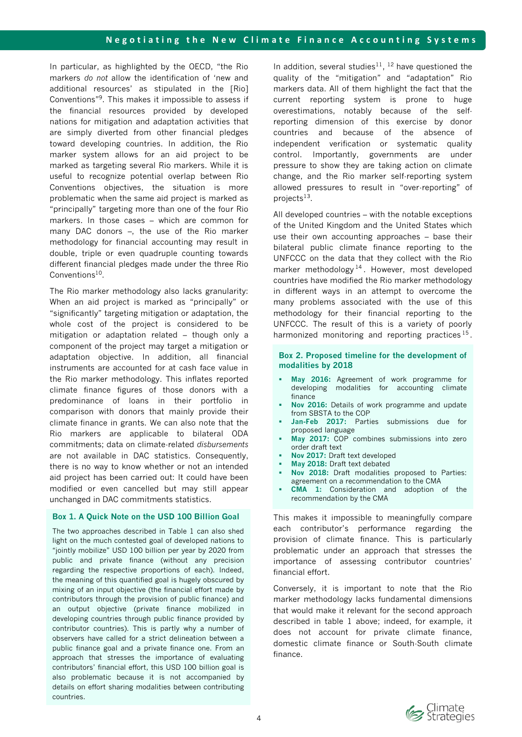In particular, as highlighted by the OECD, "the Rio markers *do not* allow the identification of 'new and additional resources' as stipulated in the [Rio] Conventions"<sup>9</sup> . This makes it impossible to assess if the financial resources provided by developed nations for mitigation and adaptation activities that are simply diverted from other financial pledges toward developing countries. In addition, the Rio marker system allows for an aid project to be marked as targeting several Rio markers. While it is useful to recognize potential overlap between Rio Conventions objectives, the situation is more problematic when the same aid project is marked as "principally" targeting more than one of the four Rio markers. In those cases – which are common for many DAC donors –, the use of the Rio marker methodology for financial accounting may result in double, triple or even quadruple counting towards different financial pledges made under the three Rio Conventions<sup>10</sup>.

The Rio marker methodology also lacks granularity: When an aid project is marked as "principally" or "significantly" targeting mitigation or adaptation, the whole cost of the project is considered to be mitigation or adaptation related – though only a component of the project may target a mitigation or adaptation objective. In addition, all financial instruments are accounted for at cash face value in the Rio marker methodology. This inflates reported climate finance figures of those donors with a predominance of loans in their portfolio in comparison with donors that mainly provide their climate finance in grants. We can also note that the Rio markers are applicable to bilateral ODA commitments; data on climate-related *disbursements* are not available in DAC statistics. Consequently, there is no way to know whether or not an intended aid project has been carried out: It could have been modified or even cancelled but may still appear unchanged in DAC commitments statistics.

## **Box 1. A Quick Note on the USD 100 Billion Goal**

The two approaches described in Table 1 can also shed light on the much contested goal of developed nations to "jointly mobilize" USD 100 billion per year by 2020 from public and private finance (without any precision regarding the respective proportions of each). Indeed, the meaning of this quantified goal is hugely obscured by mixing of an input objective (the financial effort made by contributors through the provision of public finance) and an output objective (private finance mobilized in developing countries through public finance provided by contributor countries). This is partly why a number of observers have called for a strict delineation between a public finance goal and a private finance one. From an approach that stresses the importance of evaluating contributors' financial effort, this USD 100 billion goal is also problematic because it is not accompanied by details on effort sharing modalities between contributing countries.

In addition, several studies<sup>11</sup>,  $^{12}$  have questioned the quality of the "mitigation" and "adaptation" Rio markers data. All of them highlight the fact that the current reporting system is prone to huge overestimations, notably because of the selfreporting dimension of this exercise by donor countries and because of the absence of independent verification or systematic quality control. Importantly, governments are under pressure to show they are taking action on climate change, and the Rio marker self-reporting system allowed pressures to result in "over-reporting" of projects<sup>13</sup>.

All developed countries – with the notable exceptions of the United Kingdom and the United States which use their own accounting approaches – base their bilateral public climate finance reporting to the UNFCCC on the data that they collect with the Rio marker methodology<sup>14</sup>. However, most developed countries have modified the Rio marker methodology in different ways in an attempt to overcome the many problems associated with the use of this methodology for their financial reporting to the UNFCCC. The result of this is a variety of poorly harmonized monitoring and reporting practices<sup>15</sup>.

#### **Box 2. Proposed timeline for the development of modalities by 2018**

- **May 2016:** Agreement of work programme for developing modalities for accounting climate finance
- **Nov 2016:** Details of work programme and update from SBSTA to the COP
- **Jan-Feb 2017:** Parties submissions due for proposed language
- **May 2017:** COP combines submissions into zero order draft text
- **Nov 2017:** Draft text developed
- **May 2018:** Draft text debated
- **Nov 2018:** Draft modalities proposed to Parties: agreement on a recommendation to the CMA
- **CMA 1:** Consideration and adoption of the recommendation by the CMA

This makes it impossible to meaningfully compare each contributor's performance regarding the provision of climate finance. This is particularly problematic under an approach that stresses the importance of assessing contributor countries' financial effort.

Conversely, it is important to note that the Rio marker methodology lacks fundamental dimensions that would make it relevant for the second approach described in table 1 above; indeed, for example, it does not account for private climate finance, domestic climate finance or South-South climate finance.

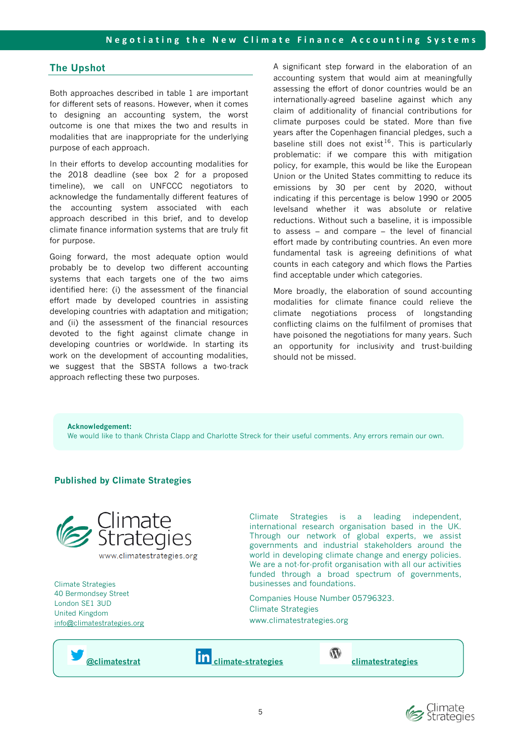# **The Upshot**

Both approaches described in table 1 are important for different sets of reasons. However, when it comes to designing an accounting system, the worst outcome is one that mixes the two and results in modalities that are inappropriate for the underlying purpose of each approach.

In their efforts to develop accounting modalities for the 2018 deadline (see box 2 for a proposed timeline), we call on UNFCCC negotiators to acknowledge the fundamentally different features of the accounting system associated with each approach described in this brief, and to develop climate finance information systems that are truly fit for purpose.

Going forward, the most adequate option would probably be to develop two different accounting systems that each targets one of the two aims identified here: (i) the assessment of the financial effort made by developed countries in assisting developing countries with adaptation and mitigation; and (ii) the assessment of the financial resources devoted to the fight against climate change in developing countries or worldwide. In starting its work on the development of accounting modalities, we suggest that the SBSTA follows a two-track approach reflecting these two purposes.

A significant step forward in the elaboration of an accounting system that would aim at meaningfully assessing the effort of donor countries would be an internationally-agreed baseline against which any claim of additionality of financial contributions for climate purposes could be stated. More than five years after the Copenhagen financial pledges, such a baseline still does not exist<sup>16</sup>. This is particularly problematic: if we compare this with mitigation policy, for example, this would be like the European Union or the United States committing to reduce its emissions by 30 per cent by 2020, without indicating if this percentage is below 1990 or 2005 levelsand whether it was absolute or relative reductions. Without such a baseline, it is impossible to assess – and compare – the level of financial effort made by contributing countries. An even more fundamental task is agreeing definitions of what counts in each category and which flows the Parties find acceptable under which categories.

More broadly, the elaboration of sound accounting modalities for climate finance could relieve the climate negotiations process of longstanding conflicting claims on the fulfilment of promises that have poisoned the negotiations for many years. Such an opportunity for inclusivity and trust-building should not be missed.

**Acknowledgement:**  We would like to thank Christa Clapp and Charlotte Streck for their useful comments. Any errors remain our own.

## **Published by Climate Strategies**



Climate Strategies 40 Bermondsey Street London SE1 3UD United Kingdom [info@climatestrategies.org](mailto:info@climatestrategies.org)



Climate Strategies is a leading independent, international research organisation based in the UK. Through our network of global experts, we assist governments and industrial stakeholders around the world in developing climate change and energy policies. We are a not-for-profit organisation with all our activities funded through a broad spectrum of governments,

businesses and foundations.

www.climatestrategies.org

Climate Strategies

Companies House Number 05796323.

 $\mathbf{W}$